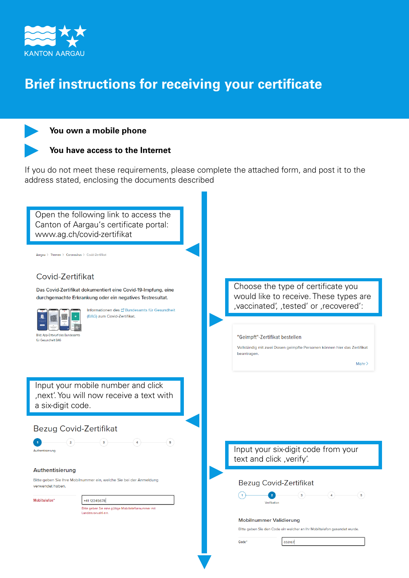

## **Brief instructions for receiving your certificate**





If you do not meet these requirements, please complete the attached form, and post it to the address stated, enclosing the documents described

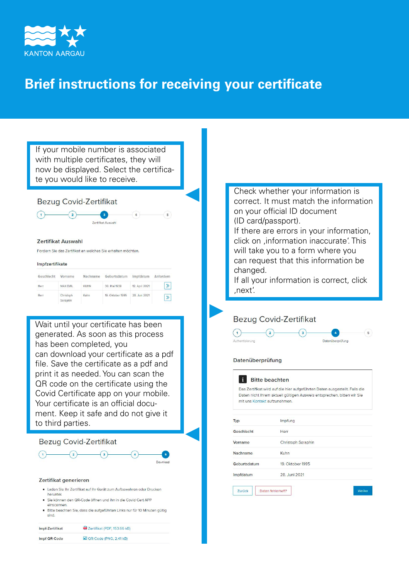

## **Brief instructions for receiving your certificate**